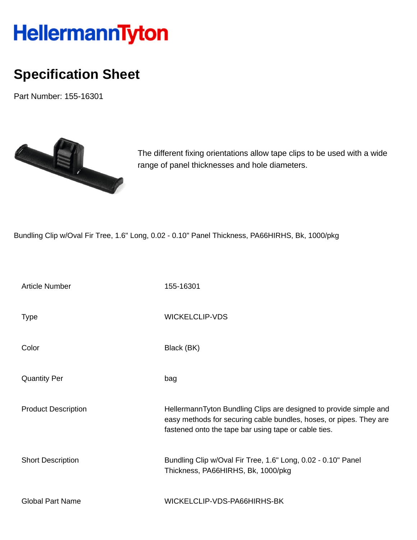## HellermannTyton

## **Specification Sheet**

Part Number: 155-16301



The different fixing orientations allow tape clips to be used with a wide range of panel thicknesses and hole diameters.

Bundling Clip w/Oval Fir Tree, 1.6" Long, 0.02 - 0.10" Panel Thickness, PA66HIRHS, Bk, 1000/pkg

| <b>Article Number</b>      | 155-16301                                                                                                                                                                                       |
|----------------------------|-------------------------------------------------------------------------------------------------------------------------------------------------------------------------------------------------|
| <b>Type</b>                | <b>WICKELCLIP-VDS</b>                                                                                                                                                                           |
| Color                      | Black (BK)                                                                                                                                                                                      |
| <b>Quantity Per</b>        | bag                                                                                                                                                                                             |
| <b>Product Description</b> | HellermannTyton Bundling Clips are designed to provide simple and<br>easy methods for securing cable bundles, hoses, or pipes. They are<br>fastened onto the tape bar using tape or cable ties. |
| <b>Short Description</b>   | Bundling Clip w/Oval Fir Tree, 1.6" Long, 0.02 - 0.10" Panel<br>Thickness, PA66HIRHS, Bk, 1000/pkg                                                                                              |
| <b>Global Part Name</b>    | WICKELCLIP-VDS-PA66HIRHS-BK                                                                                                                                                                     |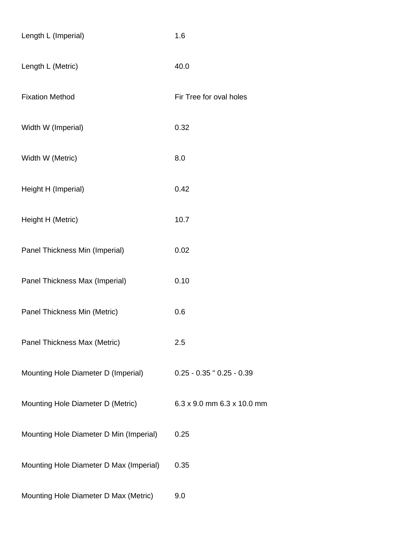| Length L (Imperial)                     | 1.6                           |
|-----------------------------------------|-------------------------------|
| Length L (Metric)                       | 40.0                          |
| <b>Fixation Method</b>                  | Fir Tree for oval holes       |
| Width W (Imperial)                      | 0.32                          |
| Width W (Metric)                        | 8.0                           |
| Height H (Imperial)                     | 0.42                          |
| Height H (Metric)                       | 10.7                          |
| Panel Thickness Min (Imperial)          | 0.02                          |
| Panel Thickness Max (Imperial)          | 0.10                          |
| Panel Thickness Min (Metric)            | 0.6                           |
| Panel Thickness Max (Metric)            | 2.5                           |
| Mounting Hole Diameter D (Imperial)     | $0.25 - 0.35$ " $0.25 - 0.39$ |
| Mounting Hole Diameter D (Metric)       | 6.3 x 9.0 mm 6.3 x 10.0 mm    |
| Mounting Hole Diameter D Min (Imperial) | 0.25                          |
| Mounting Hole Diameter D Max (Imperial) | 0.35                          |
| Mounting Hole Diameter D Max (Metric)   | 9.0                           |